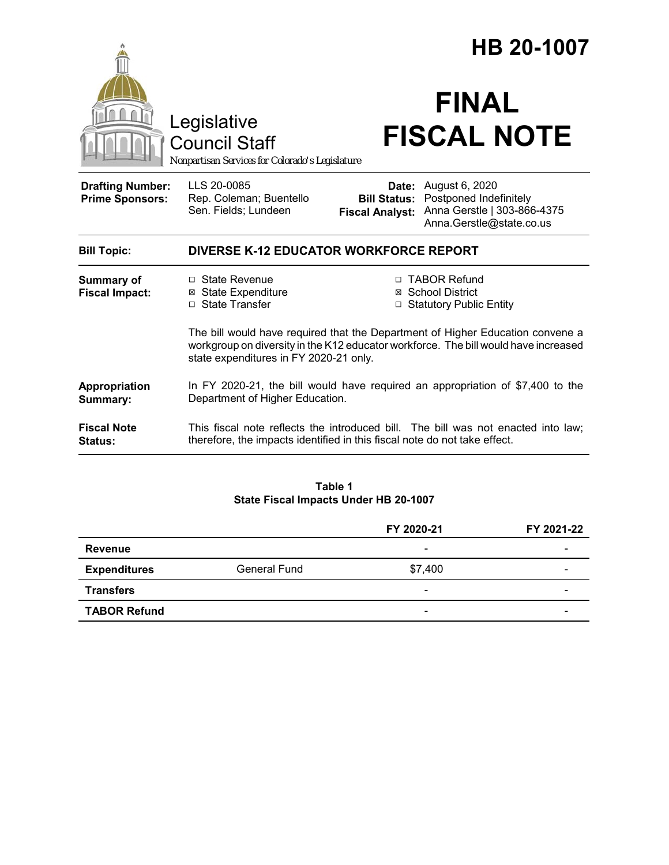|                                                   |                                                                                                                                                                                                                 | HB 20-1007                                                       |                                                                                                                  |  |
|---------------------------------------------------|-----------------------------------------------------------------------------------------------------------------------------------------------------------------------------------------------------------------|------------------------------------------------------------------|------------------------------------------------------------------------------------------------------------------|--|
|                                                   | Legislative<br><b>Council Staff</b><br>Nonpartisan Services for Colorado's Legislature                                                                                                                          |                                                                  | <b>FINAL</b><br><b>FISCAL NOTE</b>                                                                               |  |
| <b>Drafting Number:</b><br><b>Prime Sponsors:</b> | LLS 20-0085<br>Rep. Coleman; Buentello<br>Sen. Fields; Lundeen                                                                                                                                                  | <b>Bill Status:</b><br><b>Fiscal Analyst:</b>                    | <b>Date:</b> August 6, 2020<br>Postponed Indefinitely<br>Anna Gerstle   303-866-4375<br>Anna.Gerstle@state.co.us |  |
| <b>Bill Topic:</b>                                | <b>DIVERSE K-12 EDUCATOR WORKFORCE REPORT</b>                                                                                                                                                                   |                                                                  |                                                                                                                  |  |
| <b>Summary of</b><br><b>Fiscal Impact:</b>        | $\Box$ State Revenue<br><b>⊠</b> State Expenditure<br>□ State Transfer                                                                                                                                          | □ TABOR Refund<br>⊠ School District<br>□ Statutory Public Entity |                                                                                                                  |  |
|                                                   | The bill would have required that the Department of Higher Education convene a<br>workgroup on diversity in the K12 educator workforce. The bill would have increased<br>state expenditures in FY 2020-21 only. |                                                                  |                                                                                                                  |  |
| Appropriation<br>Summary:                         | In FY 2020-21, the bill would have required an appropriation of $$7,400$ to the<br>Department of Higher Education.                                                                                              |                                                                  |                                                                                                                  |  |
| <b>Fiscal Note</b><br><b>Status:</b>              | This fiscal note reflects the introduced bill. The bill was not enacted into law;<br>therefore, the impacts identified in this fiscal note do not take effect.                                                  |                                                                  |                                                                                                                  |  |

#### **Table 1 State Fiscal Impacts Under HB 20-1007**

|                     |                     | FY 2020-21               | FY 2021-22 |
|---------------------|---------------------|--------------------------|------------|
| <b>Revenue</b>      |                     | $\overline{\phantom{a}}$ |            |
| <b>Expenditures</b> | <b>General Fund</b> | \$7,400                  |            |
| <b>Transfers</b>    |                     | $\overline{\phantom{a}}$ | -          |
| <b>TABOR Refund</b> |                     | $\overline{\phantom{a}}$ |            |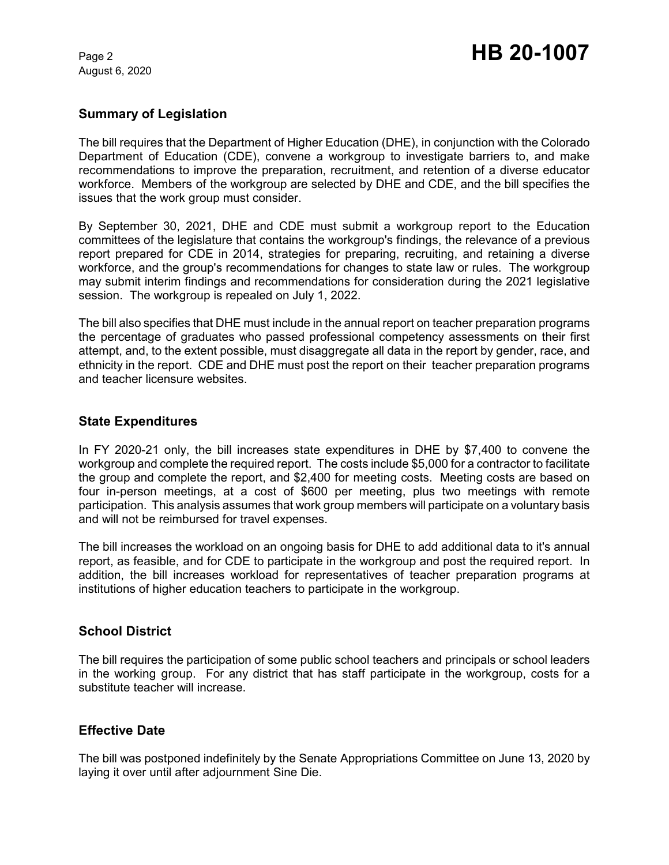August 6, 2020

## **Summary of Legislation**

The bill requires that the Department of Higher Education (DHE), in conjunction with the Colorado Department of Education (CDE), convene a workgroup to investigate barriers to, and make recommendations to improve the preparation, recruitment, and retention of a diverse educator workforce. Members of the workgroup are selected by DHE and CDE, and the bill specifies the issues that the work group must consider.

By September 30, 2021, DHE and CDE must submit a workgroup report to the Education committees of the legislature that contains the workgroup's findings, the relevance of a previous report prepared for CDE in 2014, strategies for preparing, recruiting, and retaining a diverse workforce, and the group's recommendations for changes to state law or rules. The workgroup may submit interim findings and recommendations for consideration during the 2021 legislative session. The workgroup is repealed on July 1, 2022.

The bill also specifies that DHE must include in the annual report on teacher preparation programs the percentage of graduates who passed professional competency assessments on their first attempt, and, to the extent possible, must disaggregate all data in the report by gender, race, and ethnicity in the report. CDE and DHE must post the report on their teacher preparation programs and teacher licensure websites.

#### **State Expenditures**

In FY 2020-21 only, the bill increases state expenditures in DHE by \$7,400 to convene the workgroup and complete the required report. The costs include \$5,000 for a contractor to facilitate the group and complete the report, and \$2,400 for meeting costs. Meeting costs are based on four in-person meetings, at a cost of \$600 per meeting, plus two meetings with remote participation. This analysis assumes that work group members will participate on a voluntary basis and will not be reimbursed for travel expenses.

The bill increases the workload on an ongoing basis for DHE to add additional data to it's annual report, as feasible, and for CDE to participate in the workgroup and post the required report. In addition, the bill increases workload for representatives of teacher preparation programs at institutions of higher education teachers to participate in the workgroup.

## **School District**

The bill requires the participation of some public school teachers and principals or school leaders in the working group. For any district that has staff participate in the workgroup, costs for a substitute teacher will increase.

#### **Effective Date**

The bill was postponed indefinitely by the Senate Appropriations Committee on June 13, 2020 by laying it over until after adjournment Sine Die.